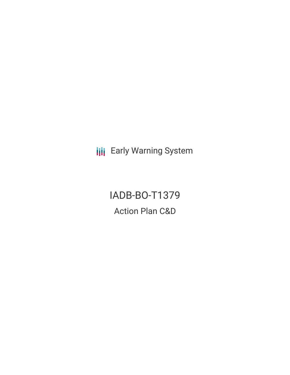**III** Early Warning System

IADB-BO-T1379 Action Plan C&D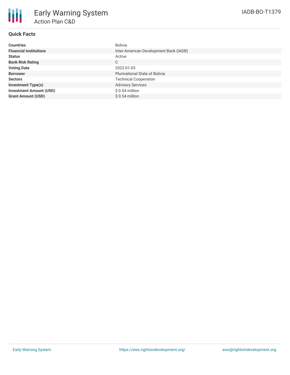

## **Quick Facts**

| <b>Countries</b>               | Bolivia                                |
|--------------------------------|----------------------------------------|
| <b>Financial Institutions</b>  | Inter-American Development Bank (IADB) |
| <b>Status</b>                  | Active                                 |
| <b>Bank Risk Rating</b>        | C                                      |
| <b>Voting Date</b>             | 2022-01-03                             |
| <b>Borrower</b>                | <b>Plurinational State of Bolivia</b>  |
| <b>Sectors</b>                 | <b>Technical Cooperation</b>           |
| <b>Investment Type(s)</b>      | <b>Advisory Services</b>               |
| <b>Investment Amount (USD)</b> | $$0.54$ million                        |
| <b>Grant Amount (USD)</b>      | $$0.54$ million                        |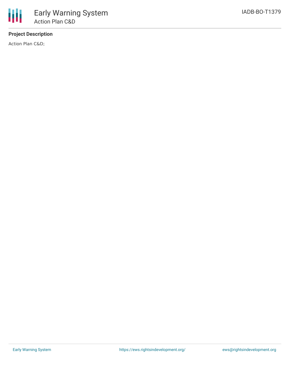# **Project Description**

Action Plan C&D;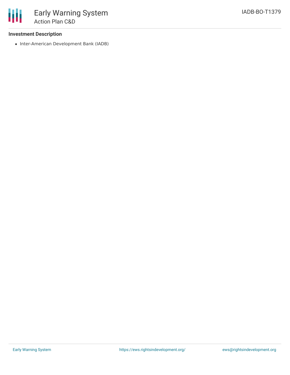### **Investment Description**

• Inter-American Development Bank (IADB)